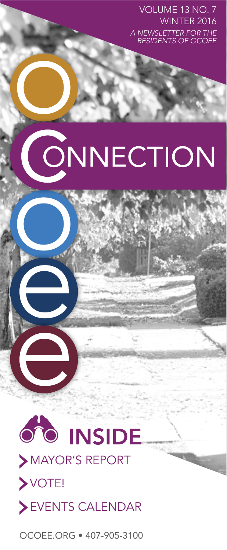VOLUME 13 NO. 7 WINTER 2016 *A NEWSLETTER FOR THE RESIDENTS OF OCOEE* 

# ONNECTION



MAYOR'S REPORT VOTE! EVENTS CALENDAR

patera.scott@ocoee.org. OCOEE.ORG • 407-905-3100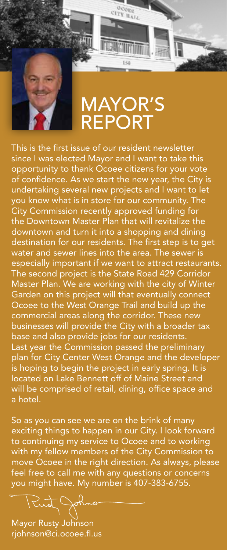

### MAYOR'S REPORT

OCORE **ITY HALL** 

This is the first issue of our resident newsletter since I was elected Mayor and I want to take this opportunity to thank Ocoee citizens for your vote of confidence. As we start the new year, the City is undertaking several new projects and I want to let you know what is in store for our community. The City Commission recently approved funding for the Downtown Master Plan that will revitalize the downtown and turn it into a shopping and dining destination for our residents. The first step is to get water and sewer lines into the area. The sewer is especially important if we want to attract restaurants. The second project is the State Road 429 Corridor Master Plan. We are working with the city of Winter Garden on this project will that eventually connect Ocoee to the West Orange Trail and build up the commercial areas along the corridor. These new businesses will provide the City with a broader tax base and also provide jobs for our residents. Last year the Commission passed the preliminary plan for City Center West Orange and the developer is hoping to begin the project in early spring. It is located on Lake Bennett off of Maine Street and will be comprised of retail, dining, office space and a hotel.

So as you can see we are on the brink of many exciting things to happen in our City. I look forward to continuing my service to Ocoee and to working with my fellow members of the City Commission to move Ocoee in the right direction. As always, please feel free to call me with any questions or concerns you might have. My number is 407-383-6755.

Mayor Rusty Johnson rjohnson@ci.ocoee.fl.us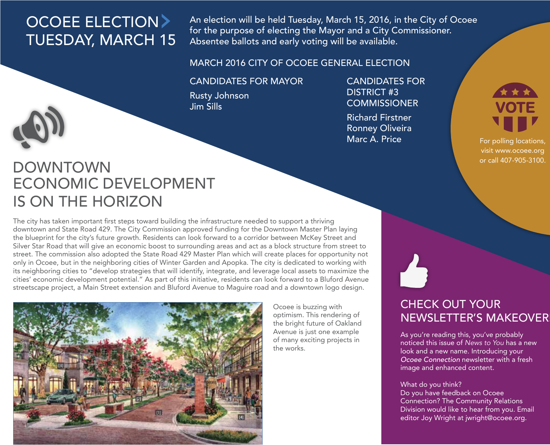# OCOEE ELECTION TUESDAY, MARCH 15

An election will be held Tuesday, March 15, 2016, in the City of Ocoee for the purpose of electing the Mayor and a City Commissioner. Absentee ballots and early voting will be available.

### MARCH 2016 CITY OF OCOEE GENERAL ELECTION

#### CANDIDATES FOR MAYOR

Rusty Johnson Jim Sills

CANDIDATES FOR DISTRICT #3 **COMMISSIONER** 

Richard Firstner Ronney Oliveira Marc A. Price



For polling locations, visit www.ocoee.org or call 407-905-3100.

## DOWNTOWN ECONOMIC DEVELOPMENT IS ON THE HORIZON

The city has taken important first steps toward building the infrastructure needed to support a thriving downtown and State Road 429. The City Commission approved funding for the Downtown Master Plan laying the blueprint for the city's future growth. Residents can look forward to a corridor between McKey Street and Silver Star Road that will give an economic boost to surrounding areas and act as a block structure from street to street. The commission also adopted the State Road 429 Master Plan which will create places for opportunity not only in Ocoee, but in the neighboring cities of Winter Garden and Apopka. The city is dedicated to working with its neighboring cities to "develop strategies that will identify, integrate, and leverage local assets to maximize the cities' economic development potential." As part of this initiative, residents can look forward to a Bluford Avenue streetscape project, a Main Street extension and Bluford Avenue to Maguire road and a downtown logo design.



Ocoee is buzzing with optimism. This rendering of the bright future of Oakland Avenue is just one example of many exciting projects in the works.

### CHECK OUT YOUR NEWSLETTER'S MAKEOVER!

As you're reading this, you've probably noticed this issue of *News to You* has a new look and a new name. Introducing your *Ocoee Connection* newsletter with a fresh image and enhanced content.

#### What do you think?

Do you have feedback on Ocoee Connection? The Community Relations Division would like to hear from you. Email editor Joy Wright at jwright@ocoee.org.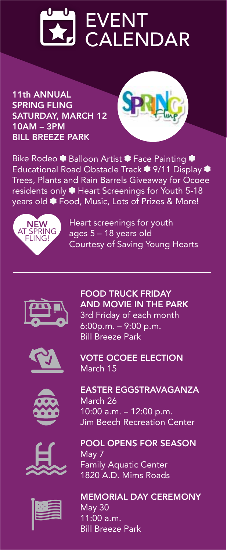

11th ANNUAL SPRING FLING SATURDAY, MARCH 12 10AM – 3PM BILL BREEZE PARK



Bike Rodeo <sup>1</sup> Balloon Artist <sup>1</sup> Face Painting Educational Road Obstacle Track <sup>\$</sup> 9/11 Display <sup>\$</sup> Trees, Plants and Rain Barrels Giveaway for Ocoee residents only <sup>1</sup> Heart Screenings for Youth 5-18 vears old <sup>•</sup> Food, Music, Lots of Prizes & More!



Heart screenings for youth ages 5 – 18 years old Courtesy of Saving Young Hearts

FOOD TRUCK FRIDAY AND MOVIE IN THE PARK 3rd Friday of each month 6:00p.m. – 9:00 p.m. Bill Breeze Park







VOTE OCOEE ELECTION March 15





POOL OPENS FOR SEASON May 7 Family Aquatic Center 1820 A.D. Mims Roads

MEMORIAL DAY CEREMONY May 30 11:00 a.m. Bill Breeze Park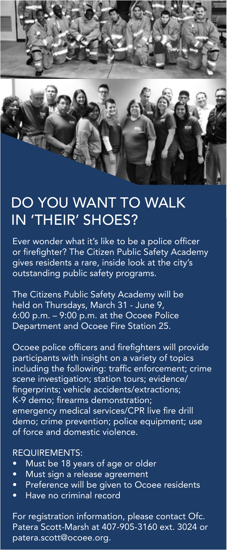

### DO YOU WANT TO WALK IN 'THEIR' SHOES?

Ever wonder what it's like to be a police officer or firefighter? The Citizen Public Safety Academy gives residents a rare, inside look at the city's outstanding public safety programs.

The Citizens Public Safety Academy will be held on Thursdays, March 31 - June 9, 6:00 p.m. – 9:00 p.m. at the Ocoee Police Department and Ocoee Fire Station 25.

Ocoee police officers and firefighters will provide participants with insight on a variety of topics including the following: traffic enforcement; crime scene investigation; station tours; evidence/ fingerprints; vehicle accidents/extractions; K-9 demo; firearms demonstration; emergency medical services/CPR live fire drill demo; crime prevention; police equipment; use of force and domestic violence.

#### REQUIREMENTS:

- Must be 18 years of age or older
- Must sign a release agreement
- Preference will be given to Ocoee residents
- Have no criminal record

For registration information, please contact Ofc. Patera Scott-Marsh at 407-905-3160 ext. 3024 or patera.scott@ocoee.org.